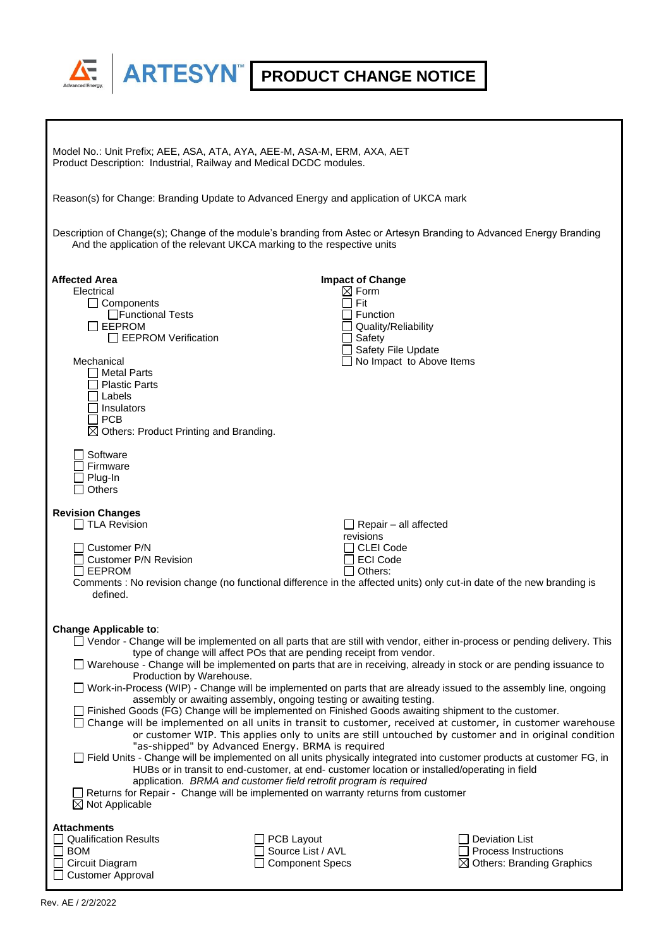

| Model No.: Unit Prefix; AEE, ASA, ATA, AYA, AEE-M, ASA-M, ERM, AXA, AET<br>Product Description: Industrial, Railway and Medical DCDC modules.                                                                                                                                                                                                                                                                                                                                                                                                                                                                                                                                                                                                                                                                                                                                                                                                                                                                                                                                                                                                                                                                                                                                                                                                                                                |                                                                                                                              |                                                                                                                        |
|----------------------------------------------------------------------------------------------------------------------------------------------------------------------------------------------------------------------------------------------------------------------------------------------------------------------------------------------------------------------------------------------------------------------------------------------------------------------------------------------------------------------------------------------------------------------------------------------------------------------------------------------------------------------------------------------------------------------------------------------------------------------------------------------------------------------------------------------------------------------------------------------------------------------------------------------------------------------------------------------------------------------------------------------------------------------------------------------------------------------------------------------------------------------------------------------------------------------------------------------------------------------------------------------------------------------------------------------------------------------------------------------|------------------------------------------------------------------------------------------------------------------------------|------------------------------------------------------------------------------------------------------------------------|
| Reason(s) for Change: Branding Update to Advanced Energy and application of UKCA mark                                                                                                                                                                                                                                                                                                                                                                                                                                                                                                                                                                                                                                                                                                                                                                                                                                                                                                                                                                                                                                                                                                                                                                                                                                                                                                        |                                                                                                                              |                                                                                                                        |
| Description of Change(s); Change of the module's branding from Astec or Artesyn Branding to Advanced Energy Branding<br>And the application of the relevant UKCA marking to the respective units                                                                                                                                                                                                                                                                                                                                                                                                                                                                                                                                                                                                                                                                                                                                                                                                                                                                                                                                                                                                                                                                                                                                                                                             |                                                                                                                              |                                                                                                                        |
| <b>Affected Area</b><br>Electrical<br>$\Box$ Components<br>□Functional Tests<br><b>EEPROM</b><br>$\Box$ EEPROM Verification<br>Mechanical<br>ヿ Metal Parts<br><b>Plastic Parts</b><br>Labels<br>l Insulators<br>∏ PCB<br>$\boxtimes$ Others: Product Printing and Branding.                                                                                                                                                                                                                                                                                                                                                                                                                                                                                                                                                                                                                                                                                                                                                                                                                                                                                                                                                                                                                                                                                                                  | <b>Impact of Change</b><br>$\boxtimes$ Form<br>Fit<br><b>Function</b><br>Quality/Reliability<br>Safety<br>Safety File Update | No Impact to Above Items                                                                                               |
| Software<br>Firmware<br>Plug-In<br><b>Others</b>                                                                                                                                                                                                                                                                                                                                                                                                                                                                                                                                                                                                                                                                                                                                                                                                                                                                                                                                                                                                                                                                                                                                                                                                                                                                                                                                             |                                                                                                                              |                                                                                                                        |
| <b>Revision Changes</b><br>$\Box$ TLA Revision                                                                                                                                                                                                                                                                                                                                                                                                                                                                                                                                                                                                                                                                                                                                                                                                                                                                                                                                                                                                                                                                                                                                                                                                                                                                                                                                               | $\Box$ Repair – all affected                                                                                                 |                                                                                                                        |
| Customer P/N<br><b>Customer P/N Revision</b><br>∃EEPROM<br>defined.                                                                                                                                                                                                                                                                                                                                                                                                                                                                                                                                                                                                                                                                                                                                                                                                                                                                                                                                                                                                                                                                                                                                                                                                                                                                                                                          | revisions<br><b>CLEI Code</b><br><b>ECI Code</b><br>Others:                                                                  | Comments : No revision change (no functional difference in the affected units) only cut-in date of the new branding is |
| <b>Change Applicable to:</b><br>□ Vendor - Change will be implemented on all parts that are still with vendor, either in-process or pending delivery. This<br>type of change will affect POs that are pending receipt from vendor.<br>□ Warehouse - Change will be implemented on parts that are in receiving, already in stock or are pending issuance to<br>Production by Warehouse.<br>Work-in-Process (WIP) - Change will be implemented on parts that are already issued to the assembly line, ongoing<br>assembly or awaiting assembly, ongoing testing or awaiting testing.<br>Finished Goods (FG) Change will be implemented on Finished Goods awaiting shipment to the customer.<br>□ Change will be implemented on all units in transit to customer, received at customer, in customer warehouse<br>or customer WIP. This applies only to units are still untouched by customer and in original condition<br>"as-shipped" by Advanced Energy. BRMA is required<br>□ Field Units - Change will be implemented on all units physically integrated into customer products at customer FG, in<br>HUBs or in transit to end-customer, at end- customer location or installed/operating in field<br>application. BRMA and customer field retrofit program is required<br>Returns for Repair - Change will be implemented on warranty returns from customer<br>$\boxtimes$ Not Applicable |                                                                                                                              |                                                                                                                        |
| <b>Attachments</b><br><b>Qualification Results</b><br><b>BOM</b><br>Circuit Diagram<br><b>Customer Approval</b>                                                                                                                                                                                                                                                                                                                                                                                                                                                                                                                                                                                                                                                                                                                                                                                                                                                                                                                                                                                                                                                                                                                                                                                                                                                                              | PCB Layout<br>Source List / AVL<br><b>Component Specs</b>                                                                    | <b>Deviation List</b><br><b>Process Instructions</b><br>$\boxtimes$ Others: Branding Graphics                          |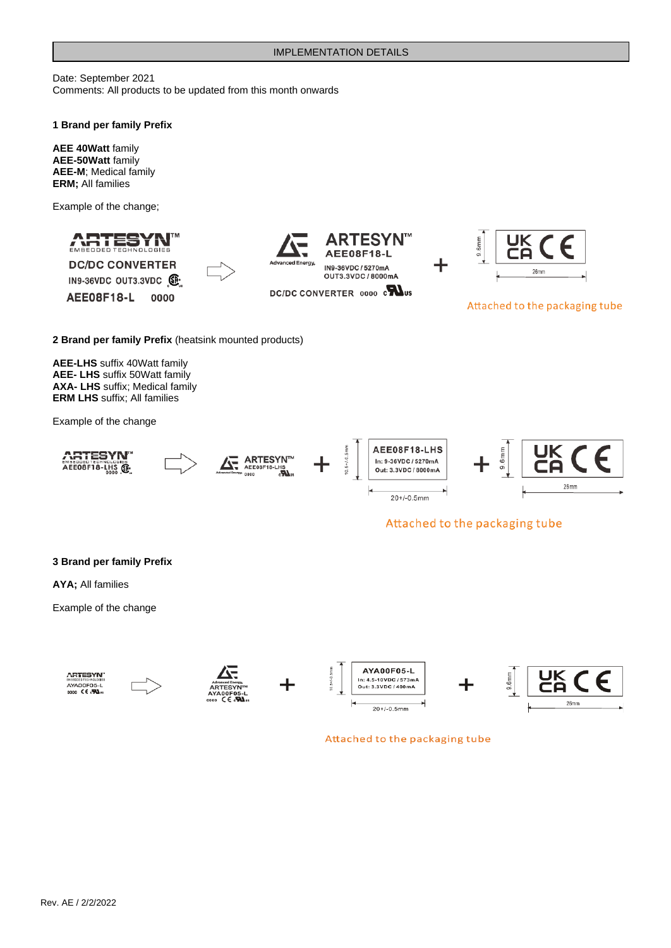Date: September 2021 Comments: All products to be updated from this month onwards

#### **1 Brand per family Prefix**

**AEE 40Watt** family **AEE-50Watt** family **AEE-M**; Medical family **ERM;** All families

Example of the change;



## Attached to the packaging tube

**3 Brand per family Prefix**

**AYA;** All families

Example of the change



Attached to the packaging tube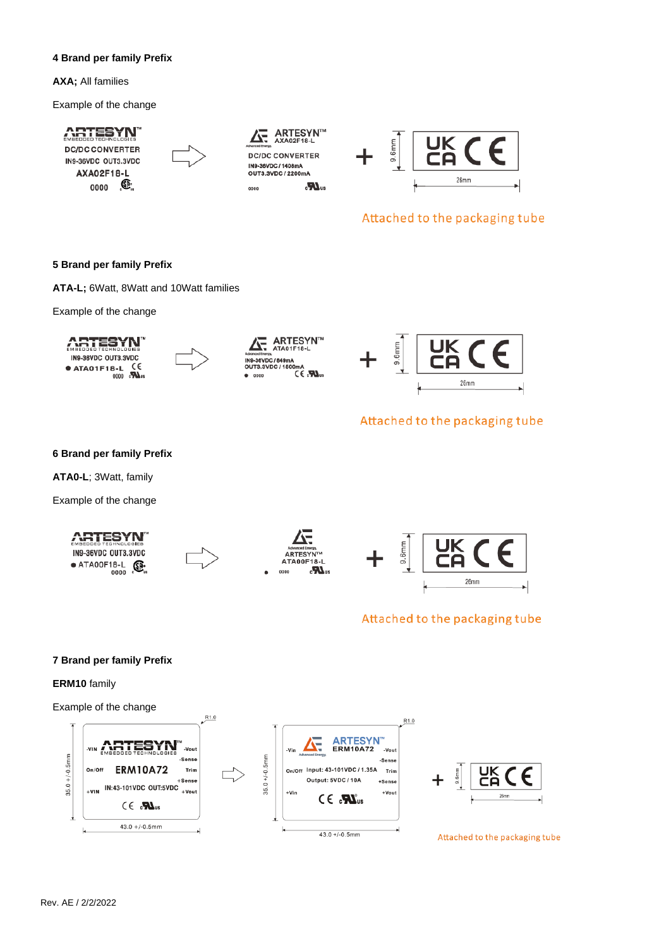### **4 Brand per family Prefix**

**AXA;** All families

Example of the change

# **ARTESYN**

**DC/DC CONVERTER** IN9-36VDC OUT3.3VDC AXA02F18-L Œ. 0000



**DC/DC CONVERTER** IN9-36VDC / 1408mA OUT3.3VDC / 2200mA  $\sum_{i=1}^{n}$ 

ARTESYN™<br>AXA02F18-L



# Attached to the packaging tube

### **5 Brand per family Prefix**

**ATA-L;** 6Watt, 8Watt and 10Watt families

Example of the change

**ARTESYN** IN9-36VDC OUT3.3VDC  $\epsilon$ ● ATA01F18-L  $0000$   $\sum_{\text{v}}$ 



 $\overline{\mathbf{A}}$  ARTESYN<sup>T</sup> **ING.36VDC / 840-**IN<sub>8-31</sub>  $180$  $0000$ 



# Attached to the packaging tube

**6 Brand per family Prefix**

**ATA0-L**; 3Watt, family

Example of the change









# Attached to the packaging tube

### **7 Brand per family Prefix**

## **ERM10** family

Example of the change